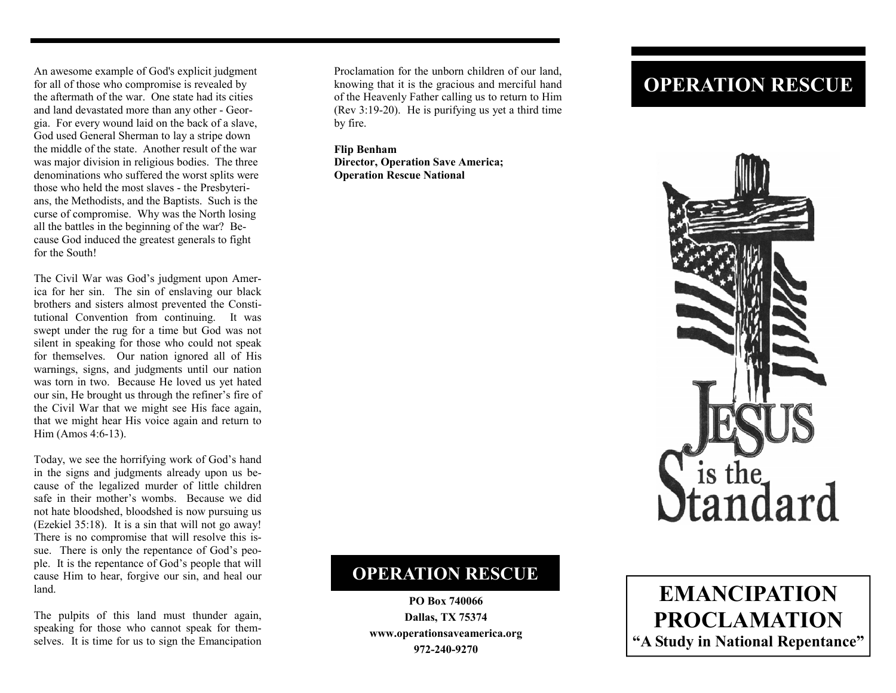An awesome example of God's explicit judgment for all of those who compromise is revealed by the aftermath of the war. One state had its cities and land devastated more than any other - Georgia. For every wound laid on the back of a slave, God used General Sherman to lay a stripe down the middle of the state. Another result of the war was major division in religious bodies. The three denominations who suffered the worst splits were those who held the most slaves - the Presbyterians, the Methodists, and the Baptists. Such is the curse of compromise. Why was the North losing all the battles in the beginning of the war? Because God induced the greatest generals to fight for the South!

The Civil War was God's judgment upon America for her sin. The sin of enslaving our black brothers and sisters almost prevented the Constitutional Convention from continuing. It was swept under the rug for a time but God was not silent in speaking for those who could not speak for themselves. Our nation ignored all of His warnings, signs, and judgments until our nation was torn in two. Because He loved us yet hated our sin, He brought us through the refiner's fire of the Civil War that we might see His face again, that we might hear His voice again and return to Him (Amos 4:6-13).

Today, we see the horrifying work of God's hand in the signs and judgments already upon us because of the legalized murder of little children safe in their mother's wombs. Because we did not hate bloodshed, bloodshed is now pursuing us (Ezekiel 35:18). It is a sin that will not go away! There is no compromise that will resolve this issue. There is only the repentance of God's people. It is the repentance of God's people that will cause Him to hear, forgive our sin, and heal our land.

The pulpits of this land must thunder again, speaking for those who cannot speak for themselves. It is time for us to sign the Emancipation

Proclamation for the unborn children of our land, knowing that it is the gracious and merciful hand of the Heavenly Father calling us to return to Him (Rev 3:19-20). He is purifying us yet a third time by fire.

**Flip Benham Director, Operation Save America; Operation Rescue National** 

## **OPERATION RESCUE**



## **OPERATION RESCUE**

**PO Box 740066 Dallas, TX 75374 www.operationsaveamerica.org 972-240-9270**